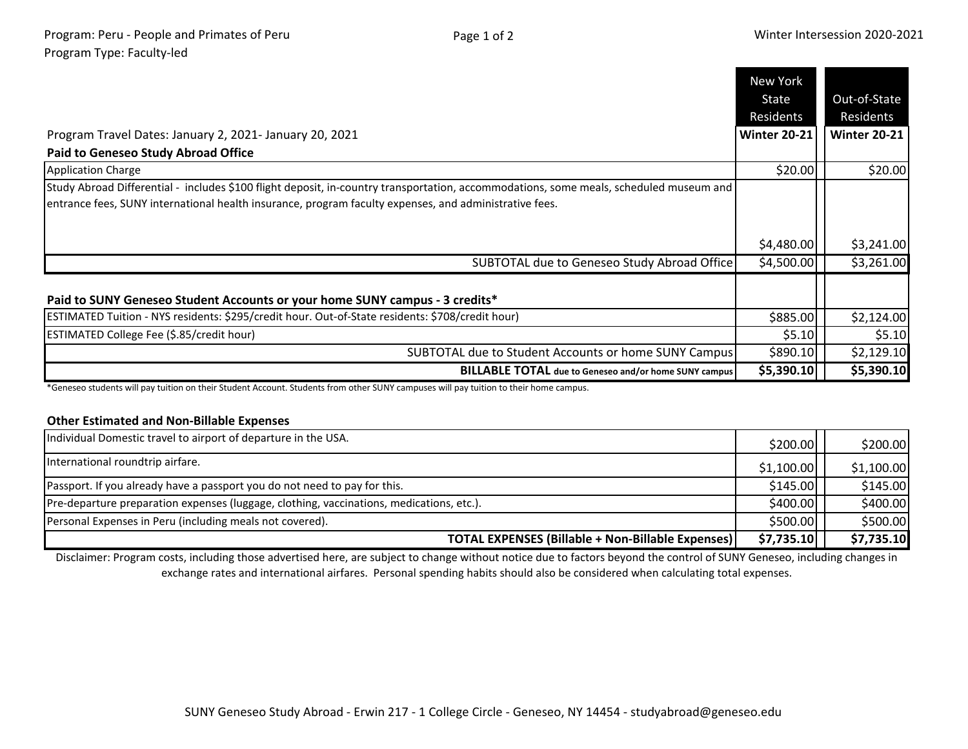|                                                                                                                                                                                                                                                  | New York            |                     |
|--------------------------------------------------------------------------------------------------------------------------------------------------------------------------------------------------------------------------------------------------|---------------------|---------------------|
|                                                                                                                                                                                                                                                  | State               | Out-of-State        |
|                                                                                                                                                                                                                                                  | Residents           | Residents           |
| Program Travel Dates: January 2, 2021- January 20, 2021                                                                                                                                                                                          | <b>Winter 20-21</b> | <b>Winter 20-21</b> |
| <b>Paid to Geneseo Study Abroad Office</b>                                                                                                                                                                                                       |                     |                     |
| <b>Application Charge</b>                                                                                                                                                                                                                        | \$20.00             | \$20.00             |
| Study Abroad Differential - includes \$100 flight deposit, in-country transportation, accommodations, some meals, scheduled museum and<br>entrance fees, SUNY international health insurance, program faculty expenses, and administrative fees. |                     |                     |
|                                                                                                                                                                                                                                                  | \$4,480.00          | \$3,241.00          |
| SUBTOTAL due to Geneseo Study Abroad Office                                                                                                                                                                                                      | \$4,500.00          | \$3,261.00          |
| Paid to SUNY Geneseo Student Accounts or your home SUNY campus - 3 credits*                                                                                                                                                                      |                     |                     |
| ESTIMATED Tuition - NYS residents: \$295/credit hour. Out-of-State residents: \$708/credit hour)                                                                                                                                                 | \$885.00            | \$2,124.00          |
| <b>ESTIMATED College Fee (\$.85/credit hour)</b>                                                                                                                                                                                                 | \$5.10              | \$5.10              |
| SUBTOTAL due to Student Accounts or home SUNY Campus                                                                                                                                                                                             | \$890.10            | \$2,129.10          |
| <b>BILLABLE TOTAL</b> due to Geneseo and/or home SUNY campus                                                                                                                                                                                     | \$5,390.10          | \$5,390.10          |

\*Geneseo students will pay tuition on their Student Account. Students from other SUNY campuses will pay tuition to their home campus.

## **Other Estimated and Non-Billable Expenses**

| Individual Domestic travel to airport of departure in the USA.                           | \$200.00]  | \$200.00   |
|------------------------------------------------------------------------------------------|------------|------------|
| International roundtrip airfare.                                                         | \$1,100.00 | \$1,100.00 |
| Passport. If you already have a passport you do not need to pay for this.                | \$145.00   | \$145.00   |
| Pre-departure preparation expenses (luggage, clothing, vaccinations, medications, etc.). | \$400.00   | \$400.00   |
| Personal Expenses in Peru (including meals not covered).                                 | \$500.00   | \$500.00   |
| <b>TOTAL EXPENSES (Billable + Non-Billable Expenses)</b>                                 | \$7,735.10 | \$7,735.10 |

Disclaimer: Program costs, including those advertised here, are subject to change without notice due to factors beyond the control of SUNY Geneseo, including changes in exchange rates and international airfares. Personal spending habits should also be considered when calculating total expenses.